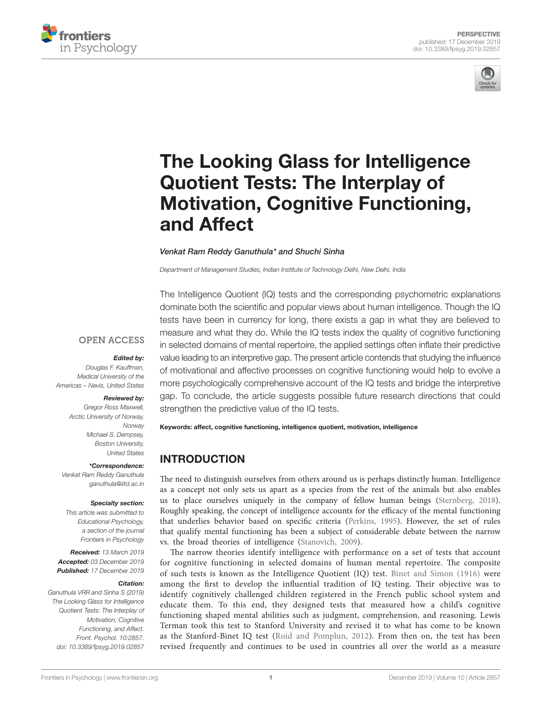



# The Looking Glass for Intelligence Quotient Tests: The Interplay of Motivation, Cognitive Functioning, and Affect

### Venkat Ram Reddy Ganuthula\* and Shuchi Sinha

Department of Management Studies, Indian Institute of Technology Delhi, New Delhi, India

The Intelligence Quotient (IQ) tests and the corresponding psychometric explanations dominate both the scientific and popular views about human intelligence. Though the IQ tests have been in currency for long, there exists a gap in what they are believed to measure and what they do. While the IQ tests index the quality of cognitive functioning in selected domains of mental repertoire, the applied settings often inflate their predictive value leading to an interpretive gap. The present article contends that studying the influence of motivational and affective processes on cognitive functioning would help to evolve a more psychologically comprehensive account of the IQ tests and bridge the interpretive gap. To conclude, the article suggests possible future research directions that could strengthen the predictive value of the IQ tests.

### **OPEN ACCESS**

### Edited by:

Douglas F. Kauffman, Medical University of the Americas – Nevis, United States

### Reviewed by:

Gregor Ross Maxwell, Arctic University of Norway, Norway Michael S. Dempsey, Boston University, United States

#### \*Correspondence:

Venkat Ram Reddy Ganuthula ganuthula@iitd.ac.in

#### Specialty section:

This article was submitted to Educational Psychology, a section of the journal Frontiers in Psychology

Received: 13 March 2019 Accepted: 03 December 2019 Published: 17 December 2019

#### Citation:

Ganuthula VRR and Sinha S (2019) The Looking Glass for Intelligence Quotient Tests: The Interplay of Motivation, Cognitive Functioning, and Affect. Front. Psychol. 10:2857. doi: 10.3389/fpsyg.2019.02857

Keywords: affect, cognitive functioning, intelligence quotient, motivation, intelligence

# INTRODUCTION

The need to distinguish ourselves from others around us is perhaps distinctly human. Intelligence as a concept not only sets us apart as a species from the rest of the animals but also enables us to place ourselves uniquely in the company of fellow human beings (Sternberg, 2018). Roughly speaking, the concept of intelligence accounts for the efficacy of the mental functioning that underlies behavior based on specific criteria (Perkins, 1995). However, the set of rules that qualify mental functioning has been a subject of considerable debate between the narrow vs. the broad theories of intelligence (Stanovich, 2009).

The narrow theories identify intelligence with performance on a set of tests that account for cognitive functioning in selected domains of human mental repertoire. The composite of such tests is known as the Intelligence Quotient (IQ) test. Binet and Simon (1916) were among the first to develop the influential tradition of IQ testing. Their objective was to identify cognitively challenged children registered in the French public school system and educate them. To this end, they designed tests that measured how a child's cognitive functioning shaped mental abilities such as judgment, comprehension, and reasoning. Lewis Terman took this test to Stanford University and revised it to what has come to be known as the Stanford-Binet IQ test (Roid and Pomplun, 2012). From then on, the test has been revised frequently and continues to be used in countries all over the world as a measure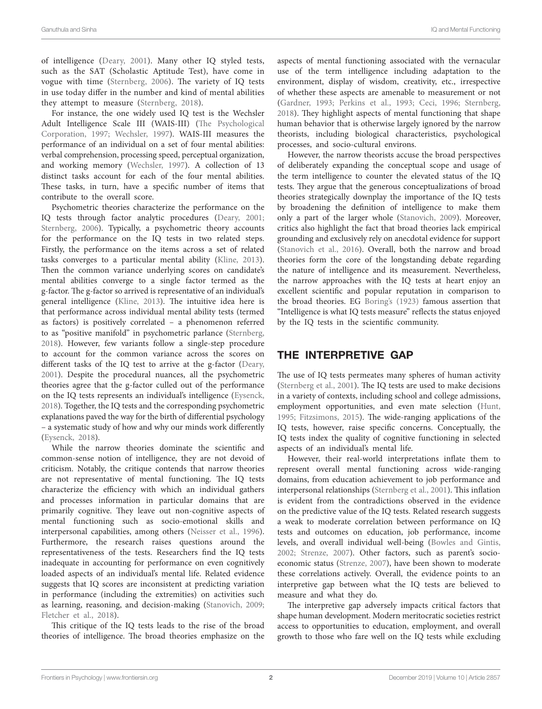of intelligence (Deary, 2001). Many other IQ styled tests, such as the SAT (Scholastic Aptitude Test), have come in vogue with time (Sternberg, 2006). The variety of IQ tests in use today differ in the number and kind of mental abilities they attempt to measure (Sternberg, 2018).

For instance, the one widely used IQ test is the Wechsler Adult Intelligence Scale III (WAIS-III) (The Psychological Corporation, 1997; Wechsler, 1997). WAIS-III measures the performance of an individual on a set of four mental abilities: verbal comprehension, processing speed, perceptual organization, and working memory (Wechsler, 1997). A collection of 13 distinct tasks account for each of the four mental abilities. These tasks, in turn, have a specific number of items that contribute to the overall score.

Psychometric theories characterize the performance on the IQ tests through factor analytic procedures (Deary, 2001; Sternberg, 2006). Typically, a psychometric theory accounts for the performance on the IQ tests in two related steps. Firstly, the performance on the items across a set of related tasks converges to a particular mental ability (Kline, 2013). Then the common variance underlying scores on candidate's mental abilities converge to a single factor termed as the g-factor. The g-factor so arrived is representative of an individual's general intelligence (Kline, 2013). The intuitive idea here is that performance across individual mental ability tests (termed as factors) is positively correlated – a phenomenon referred to as "positive manifold" in psychometric parlance (Sternberg, 2018). However, few variants follow a single-step procedure to account for the common variance across the scores on different tasks of the IQ test to arrive at the g-factor (Deary, 2001). Despite the procedural nuances, all the psychometric theories agree that the g-factor culled out of the performance on the IQ tests represents an individual's intelligence (Eysenck, 2018). Together, the IQ tests and the corresponding psychometric explanations paved the way for the birth of differential psychology – a systematic study of how and why our minds work differently (Eysenck, 2018).

While the narrow theories dominate the scientific and common-sense notion of intelligence, they are not devoid of criticism. Notably, the critique contends that narrow theories are not representative of mental functioning. The IQ tests characterize the efficiency with which an individual gathers and processes information in particular domains that are primarily cognitive. They leave out non-cognitive aspects of mental functioning such as socio-emotional skills and interpersonal capabilities, among others (Neisser et al., 1996). Furthermore, the research raises questions around the representativeness of the tests. Researchers find the IQ tests inadequate in accounting for performance on even cognitively loaded aspects of an individual's mental life. Related evidence suggests that IQ scores are inconsistent at predicting variation in performance (including the extremities) on activities such as learning, reasoning, and decision-making (Stanovich, 2009; Fletcher et al., 2018).

This critique of the IQ tests leads to the rise of the broad theories of intelligence. The broad theories emphasize on the

aspects of mental functioning associated with the vernacular use of the term intelligence including adaptation to the environment, display of wisdom, creativity, etc., irrespective of whether these aspects are amenable to measurement or not (Gardner, 1993; Perkins et al., 1993; Ceci, 1996; Sternberg, 2018). They highlight aspects of mental functioning that shape human behavior that is otherwise largely ignored by the narrow theorists, including biological characteristics, psychological processes, and socio-cultural environs.

However, the narrow theorists accuse the broad perspectives of deliberately expanding the conceptual scope and usage of the term intelligence to counter the elevated status of the IQ tests. They argue that the generous conceptualizations of broad theories strategically downplay the importance of the IQ tests by broadening the definition of intelligence to make them only a part of the larger whole (Stanovich, 2009). Moreover, critics also highlight the fact that broad theories lack empirical grounding and exclusively rely on anecdotal evidence for support (Stanovich et al., 2016). Overall, both the narrow and broad theories form the core of the longstanding debate regarding the nature of intelligence and its measurement. Nevertheless, the narrow approaches with the IQ tests at heart enjoy an excellent scientific and popular reputation in comparison to the broad theories. EG Boring's (1923) famous assertion that "Intelligence is what IQ tests measure" reflects the status enjoyed by the IQ tests in the scientific community.

# THE INTERPRETIVE GAP

The use of IQ tests permeates many spheres of human activity (Sternberg et al., 2001). The IQ tests are used to make decisions in a variety of contexts, including school and college admissions, employment opportunities, and even mate selection (Hunt, 1995; Fitzsimons, 2015). The wide-ranging applications of the IQ tests, however, raise specific concerns. Conceptually, the IQ tests index the quality of cognitive functioning in selected aspects of an individual's mental life.

However, their real-world interpretations inflate them to represent overall mental functioning across wide-ranging domains, from education achievement to job performance and interpersonal relationships (Sternberg et al., 2001). This inflation is evident from the contradictions observed in the evidence on the predictive value of the IQ tests. Related research suggests a weak to moderate correlation between performance on IQ tests and outcomes on education, job performance, income levels, and overall individual well-being (Bowles and Gintis, 2002; Strenze, 2007). Other factors, such as parent's socioeconomic status (Strenze, 2007), have been shown to moderate these correlations actively. Overall, the evidence points to an interpretive gap between what the IQ tests are believed to measure and what they do.

The interpretive gap adversely impacts critical factors that shape human development. Modern meritocratic societies restrict access to opportunities to education, employment, and overall growth to those who fare well on the IQ tests while excluding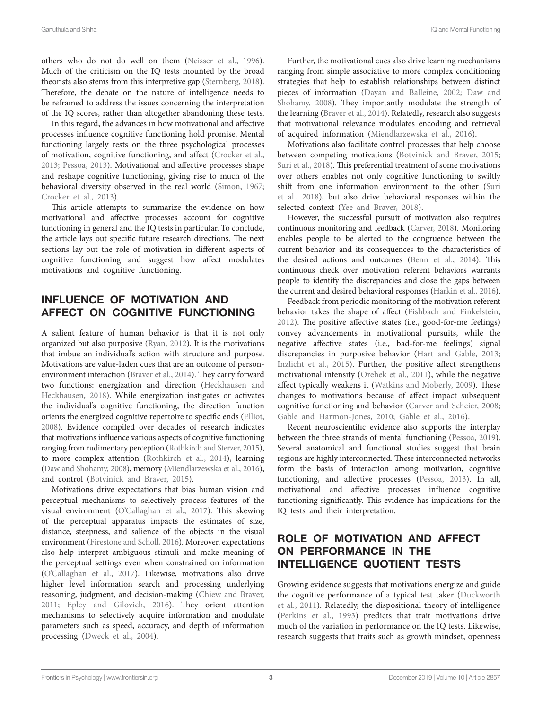others who do not do well on them (Neisser et al., 1996). Much of the criticism on the IQ tests mounted by the broad theorists also stems from this interpretive gap (Sternberg, 2018). Therefore, the debate on the nature of intelligence needs to be reframed to address the issues concerning the interpretation of the IQ scores, rather than altogether abandoning these tests.

In this regard, the advances in how motivational and affective processes influence cognitive functioning hold promise. Mental functioning largely rests on the three psychological processes of motivation, cognitive functioning, and affect (Crocker et al., 2013; Pessoa, 2013). Motivational and affective processes shape and reshape cognitive functioning, giving rise to much of the behavioral diversity observed in the real world (Simon, 1967; Crocker et al., 2013).

This article attempts to summarize the evidence on how motivational and affective processes account for cognitive functioning in general and the IQ tests in particular. To conclude, the article lays out specific future research directions. The next sections lay out the role of motivation in different aspects of cognitive functioning and suggest how affect modulates motivations and cognitive functioning.

## INFLUENCE OF MOTIVATION AND AFFECT ON COGNITIVE FUNCTIONING

A salient feature of human behavior is that it is not only organized but also purposive (Ryan, 2012). It is the motivations that imbue an individual's action with structure and purpose. Motivations are value-laden cues that are an outcome of personenvironment interaction (Braver et al., 2014). They carry forward two functions: energization and direction (Heckhausen and Heckhausen, 2018). While energization instigates or activates the individual's cognitive functioning, the direction function orients the energized cognitive repertoire to specific ends (Elliot, 2008). Evidence compiled over decades of research indicates that motivations influence various aspects of cognitive functioning ranging from rudimentary perception (Rothkirch and Sterzer, 2015), to more complex attention (Rothkirch et al., 2014), learning (Daw and Shohamy, 2008), memory (Miendlarzewska et al., 2016), and control (Botvinick and Braver, 2015).

Motivations drive expectations that bias human vision and perceptual mechanisms to selectively process features of the visual environment (O'Callaghan et al., 2017). This skewing of the perceptual apparatus impacts the estimates of size, distance, steepness, and salience of the objects in the visual environment (Firestone and Scholl, 2016). Moreover, expectations also help interpret ambiguous stimuli and make meaning of the perceptual settings even when constrained on information (O'Callaghan et al., 2017). Likewise, motivations also drive higher level information search and processing underlying reasoning, judgment, and decision-making (Chiew and Braver, 2011; Epley and Gilovich, 2016). They orient attention mechanisms to selectively acquire information and modulate parameters such as speed, accuracy, and depth of information processing (Dweck et al., 2004).

Further, the motivational cues also drive learning mechanisms ranging from simple associative to more complex conditioning strategies that help to establish relationships between distinct pieces of information (Dayan and Balleine, 2002; Daw and Shohamy, 2008). They importantly modulate the strength of the learning (Braver et al., 2014). Relatedly, research also suggests that motivational relevance modulates encoding and retrieval of acquired information (Miendlarzewska et al., 2016).

Motivations also facilitate control processes that help choose between competing motivations (Botvinick and Braver, 2015; Suri et al., 2018). This preferential treatment of some motivations over others enables not only cognitive functioning to swiftly shift from one information environment to the other (Suri et al., 2018), but also drive behavioral responses within the selected context (Yee and Braver, 2018).

However, the successful pursuit of motivation also requires continuous monitoring and feedback (Carver, 2018). Monitoring enables people to be alerted to the congruence between the current behavior and its consequences to the characteristics of the desired actions and outcomes (Benn et al., 2014). This continuous check over motivation referent behaviors warrants people to identify the discrepancies and close the gaps between the current and desired behavioral responses (Harkin et al., 2016).

Feedback from periodic monitoring of the motivation referent behavior takes the shape of affect (Fishbach and Finkelstein, 2012). The positive affective states (i.e., good-for-me feelings) convey advancements in motivational pursuits, while the negative affective states (i.e., bad-for-me feelings) signal discrepancies in purposive behavior (Hart and Gable, 2013; Inzlicht et al., 2015). Further, the positive affect strengthens motivational intensity (Orehek et al., 2011), while the negative affect typically weakens it (Watkins and Moberly, 2009). These changes to motivations because of affect impact subsequent cognitive functioning and behavior (Carver and Scheier, 2008; Gable and Harmon-Jones, 2010; Gable et al., 2016).

Recent neuroscientific evidence also supports the interplay between the three strands of mental functioning (Pessoa, 2019). Several anatomical and functional studies suggest that brain regions are highly interconnected. These interconnected networks form the basis of interaction among motivation, cognitive functioning, and affective processes (Pessoa, 2013). In all, motivational and affective processes influence cognitive functioning significantly. This evidence has implications for the IQ tests and their interpretation.

# ROLE OF MOTIVATION AND AFFECT ON PERFORMANCE IN THE INTELLIGENCE QUOTIENT TESTS

Growing evidence suggests that motivations energize and guide the cognitive performance of a typical test taker (Duckworth et al., 2011). Relatedly, the dispositional theory of intelligence (Perkins et al., 1993) predicts that trait motivations drive much of the variation in performance on the IQ tests. Likewise, research suggests that traits such as growth mindset, openness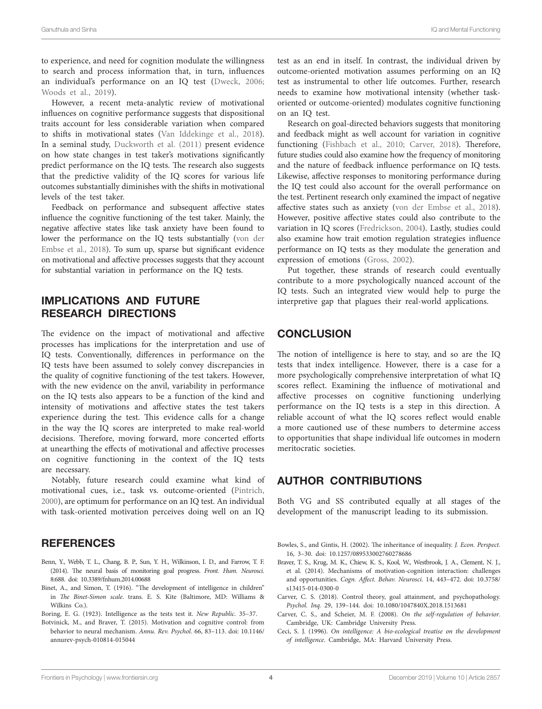to experience, and need for cognition modulate the willingness to search and process information that, in turn, influences an individual's performance on an IQ test (Dweck, 2006; Woods et al., 2019).

However, a recent meta-analytic review of motivational influences on cognitive performance suggests that dispositional traits account for less considerable variation when compared to shifts in motivational states (Van Iddekinge et al., 2018). In a seminal study, Duckworth et al. (2011) present evidence on how state changes in test taker's motivations significantly predict performance on the IQ tests. The research also suggests that the predictive validity of the IQ scores for various life outcomes substantially diminishes with the shifts in motivational levels of the test taker.

Feedback on performance and subsequent affective states influence the cognitive functioning of the test taker. Mainly, the negative affective states like task anxiety have been found to lower the performance on the IQ tests substantially (von der Embse et al., 2018). To sum up, sparse but significant evidence on motivational and affective processes suggests that they account for substantial variation in performance on the IQ tests.

### IMPLICATIONS AND FUTURE RESEARCH DIRECTIONS

The evidence on the impact of motivational and affective processes has implications for the interpretation and use of IQ tests. Conventionally, differences in performance on the IQ tests have been assumed to solely convey discrepancies in the quality of cognitive functioning of the test takers. However, with the new evidence on the anvil, variability in performance on the IQ tests also appears to be a function of the kind and intensity of motivations and affective states the test takers experience during the test. This evidence calls for a change in the way the IQ scores are interpreted to make real-world decisions. Therefore, moving forward, more concerted efforts at unearthing the effects of motivational and affective processes on cognitive functioning in the context of the IQ tests are necessary.

Notably, future research could examine what kind of motivational cues, i.e., task vs. outcome-oriented (Pintrich, 2000), are optimum for performance on an IQ test. An individual with task-oriented motivation perceives doing well on an IQ

### **REFERENCES**

- Benn, Y., Webb, T. L., Chang, B. P., Sun, Y. H., Wilkinson, I. D., and Farrow, T. F. (2014). The neural basis of monitoring goal progress. Front. Hum. Neurosci. 8:688. doi: 10.3389/fnhum.2014.00688
- Binet, A., and Simon, T. (1916). "The development of intelligence in children" in The Binet-Simon scale. trans. E. S. Kite (Baltimore, MD: Williams & Wilkins Co.).
- Boring, E. G. (1923). Intelligence as the tests test it. New Republic. 35–37.
- Botvinick, M., and Braver, T. (2015). Motivation and cognitive control: from behavior to neural mechanism. Annu. Rev. Psychol. 66, 83–113. doi: 10.1146/ annurev-psych-010814-015044

test as an end in itself. In contrast, the individual driven by outcome-oriented motivation assumes performing on an IQ test as instrumental to other life outcomes. Further, research needs to examine how motivational intensity (whether taskoriented or outcome-oriented) modulates cognitive functioning on an IQ test.

Research on goal-directed behaviors suggests that monitoring and feedback might as well account for variation in cognitive functioning (Fishbach et al., 2010; Carver, 2018). Therefore, future studies could also examine how the frequency of monitoring and the nature of feedback influence performance on IQ tests. Likewise, affective responses to monitoring performance during the IQ test could also account for the overall performance on the test. Pertinent research only examined the impact of negative affective states such as anxiety (von der Embse et al., 2018). However, positive affective states could also contribute to the variation in IQ scores (Fredrickson, 2004). Lastly, studies could also examine how trait emotion regulation strategies influence performance on IQ tests as they modulate the generation and expression of emotions (Gross, 2002).

Put together, these strands of research could eventually contribute to a more psychologically nuanced account of the IQ tests. Such an integrated view would help to purge the interpretive gap that plagues their real-world applications.

### **CONCLUSION**

The notion of intelligence is here to stay, and so are the IQ tests that index intelligence. However, there is a case for a more psychologically comprehensive interpretation of what IQ scores reflect. Examining the influence of motivational and affective processes on cognitive functioning underlying performance on the IQ tests is a step in this direction. A reliable account of what the IQ scores reflect would enable a more cautioned use of these numbers to determine access to opportunities that shape individual life outcomes in modern meritocratic societies.

### AUTHOR CONTRIBUTIONS

Both VG and SS contributed equally at all stages of the development of the manuscript leading to its submission.

- Bowles, S., and Gintis, H. (2002). The inheritance of inequality. J. Econ. Perspect. 16, 3–30. doi: 10.1257/089533002760278686
- Braver, T. S., Krug, M. K., Chiew, K. S., Kool, W., Westbrook, J. A., Clement, N. J., et al. (2014). Mechanisms of motivation-cognition interaction: challenges and opportunities. Cogn. Affect. Behav. Neurosci. 14, 443–472. doi: 10.3758/ s13415-014-0300-0
- Carver, C. S. (2018). Control theory, goal attainment, and psychopathology. Psychol. Inq. 29, 139–144. doi: 10.1080/1047840X.2018.1513681
- Carver, C. S., and Scheier, M. F. (2008). On the self-regulation of behavior. Cambridge, UK: Cambridge University Press.
- Ceci, S. J. (1996). On intelligence: A bio-ecological treatise on the development of intelligence. Cambridge, MA: Harvard University Press.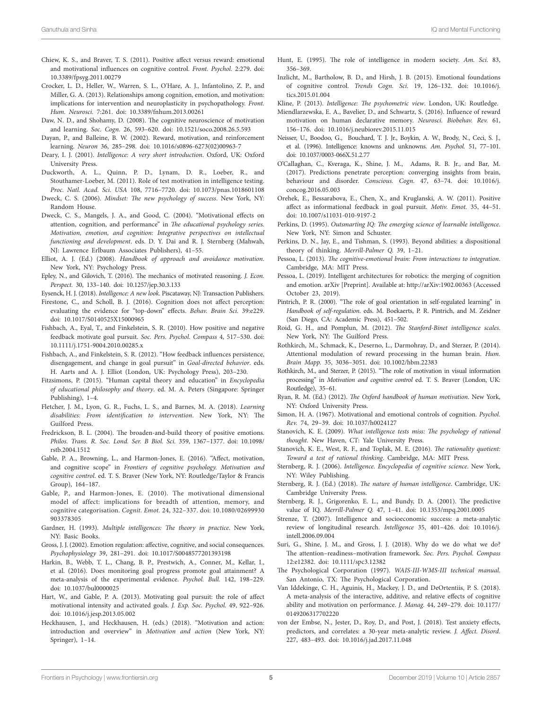- Chiew, K. S., and Braver, T. S. (2011). Positive affect versus reward: emotional and motivational influences on cognitive control. Front. Psychol. 2:279. doi: 10.3389/fpsyg.2011.00279
- Crocker, L. D., Heller, W., Warren, S. L., O'Hare, A. J., Infantolino, Z. P., and Miller, G. A. (2013). Relationships among cognition, emotion, and motivation: implications for intervention and neuroplasticity in psychopathology. Front. Hum. Neurosci. 7:261. doi: 10.3389/fnhum.2013.00261
- Daw, N. D., and Shohamy, D. (2008). The cognitive neuroscience of motivation and learning. Soc. Cogn. 26, 593–620. doi: 10.1521/soco.2008.26.5.593
- Dayan, P., and Balleine, B. W. (2002). Reward, motivation, and reinforcement learning. Neuron 36, 285–298. doi: 10.1016/s0896-6273(02)00963-7
- Deary, I. J. (2001). Intelligence: A very short introduction. Oxford, UK: Oxford University Press.
- Duckworth, A. L., Quinn, P. D., Lynam, D. R., Loeber, R., and Stouthamer-Loeber, M. (2011). Role of test motivation in intelligence testing. Proc. Natl. Acad. Sci. USA 108, 7716–7720. doi: 10.1073/pnas.1018601108
- Dweck, C. S. (2006). Mindset: The new psychology of success. New York, NY: Random House.
- Dweck, C. S., Mangels, J. A., and Good, C. (2004). "Motivational effects on attention, cognition, and performance" in The educational psychology series. Motivation, emotion, and cognition: Integrative perspectives on intellectual functioning and development. eds. D. Y. Dai and R. J. Sternberg (Mahwah, NJ: Lawrence Erlbaum Associates Publishers), 41–55.
- Elliot, A. J. (Ed.) (2008). Handbook of approach and avoidance motivation. New York, NY: Psychology Press.
- Epley, N., and Gilovich, T. (2016). The mechanics of motivated reasoning. J. Econ. Perspect. 30, 133–140. doi: 10.1257/jep.30.3.133

Eysenck, H. J. (2018). Intelligence: A new look. Piscataway, NJ: Transaction Publishers.

- Firestone, C., and Scholl, B. J. (2016). Cognition does not affect perception: evaluating the evidence for "top-down" effects. Behav. Brain Sci. 39:e229. doi: 10.1017/S0140525X15000965
- Fishbach, A., Eyal, T., and Finkelstein, S. R. (2010). How positive and negative feedback motivate goal pursuit. Soc. Pers. Psychol. Compass 4, 517–530. doi: 10.1111/j.1751-9004.2010.00285.x
- Fishbach, A., and Finkelstein, S. R. (2012). "How feedback influences persistence, disengagement, and change in goal pursuit" in Goal-directed behavior. eds. H. Aarts and A. J. Elliot (London, UK: Psychology Press), 203–230.
- Fitzsimons, P. (2015). "Human capital theory and education" in Encyclopedia of educational philosophy and theory. ed. M. A. Peters (Singapore: Springer Publishing), 1–4.
- Fletcher, J. M., Lyon, G. R., Fuchs, L. S., and Barnes, M. A. (2018). Learning disabilities: From identification to intervention. New York, NY: The Guilford Press.
- Fredrickson, B. L. (2004). The broaden-and-build theory of positive emotions. Philos. Trans. R. Soc. Lond. Ser. B Biol. Sci. 359, 1367–1377. doi: 10.1098/ rstb.2004.1512
- Gable, P. A., Browning, L., and Harmon-Jones, E. (2016). "Affect, motivation, and cognitive scope" in Frontiers of cognitive psychology. Motivation and cognitive control. ed. T. S. Braver (New York, NY: Routledge/Taylor & Francis Group), 164–187.
- Gable, P., and Harmon-Jones, E. (2010). The motivational dimensional model of affect: implications for breadth of attention, memory, and cognitive categorisation. Cognit. Emot. 24, 322–337. doi: 10.1080/02699930 903378305
- Gardner, H. (1993). Multiple intelligences: The theory in practice. New York, NY: Basic Books.
- Gross, J. J. (2002). Emotion regulation: affective, cognitive, and social consequences. Psychophysiology 39, 281–291. doi: 10.1017/S0048577201393198
- Harkin, B., Webb, T. L., Chang, B. P., Prestwich, A., Conner, M., Kellar, I., et al. (2016). Does monitoring goal progress promote goal attainment? A meta-analysis of the experimental evidence. Psychol. Bull. 142, 198–229. doi: 10.1037/bul0000025
- Hart, W., and Gable, P. A. (2013). Motivating goal pursuit: the role of affect motivational intensity and activated goals. J. Exp. Soc. Psychol. 49, 922–926. doi: 10.1016/j.jesp.2013.05.002
- Heckhausen, J., and Heckhausen, H. (eds.) (2018). "Motivation and action: introduction and overview" in Motivation and action (New York, NY: Springer), 1–14.
- Hunt, E. (1995). The role of intelligence in modern society. Am. Sci. 83, 356–369.
- Inzlicht, M., Bartholow, B. D., and Hirsh, J. B. (2015). Emotional foundations of cognitive control. Trends Cogn. Sci. 19, 126–132. doi: 10.1016/j. tics.2015.01.004
- Kline, P. (2013). Intelligence: The psychometric view. London, UK: Routledge.
- Miendlarzewska, E. A., Bavelier, D., and Schwartz, S. (2016). Influence of reward motivation on human declarative memory. Neurosci. Biobehav. Rev. 61, 156–176. doi: 10.1016/j.neubiorev.2015.11.015
- Neisser, U., Boodoo, G., Bouchard, T. J. Jr., Boykin, A. W., Brody, N., Ceci, S. J., et al. (1996). Intelligence: knowns and unknowns. Am. Psychol. 51, 77–101. doi: 10.1037/0003-066X.51.2.77
- O'Callaghan, C., Kveraga, K., Shine, J. M., Adams, R. B. Jr., and Bar, M. (2017). Predictions penetrate perception: converging insights from brain, behaviour and disorder. Conscious. Cogn. 47, 63–74. doi: 10.1016/j. concog.2016.05.003
- Orehek, E., Bessarabova, E., Chen, X., and Kruglanski, A. W. (2011). Positive affect as informational feedback in goal pursuit. Motiv. Emot. 35, 44–51. doi: 10.1007/s11031-010-9197-2
- Perkins, D. (1995). Outsmarting IQ: The emerging science of learnable intelligence. New York, NY: Simon and Schuster.
- Perkins, D. N., Jay, E., and Tishman, S. (1993). Beyond abilities: a dispositional theory of thinking. Merrill-Palmer Q. 39, 1–21.
- Pessoa, L. (2013). The cognitive-emotional brain: From interactions to integration. Cambridge, MA: MIT Press.
- Pessoa, L. (2019). Intelligent architectures for robotics: the merging of cognition and emotion. arXiv [Preprint]. Available at: http://arXiv:1902.00363 (Accessed October 23, 2019).
- Pintrich, P. R. (2000). "The role of goal orientation in self-regulated learning" in Handbook of self-regulation. eds. M. Boekaerts, P. R. Pintrich, and M. Zeidner (San Diego, CA: Academic Press), 451–502.
- Roid, G. H., and Pomplun, M. (2012). The Stanford-Binet intelligence scales. New York, NY: The Guilford Press.
- Rothkirch, M., Schmack, K., Deserno, L., Darmohray, D., and Sterzer, P. (2014). Attentional modulation of reward processing in the human brain. Hum. Brain Mapp. 35, 3036–3051. doi: 10.1002/hbm.22383
- Rothkirch, M., and Sterzer, P. (2015). "The role of motivation in visual information processing" in Motivation and cognitive control ed. T. S. Braver (London, UK: Routledge), 35–61.
- Ryan, R. M. (Ed.) (2012). The Oxford handbook of human motivation. New York, NY: Oxford University Press.
- Simon, H. A. (1967). Motivational and emotional controls of cognition. Psychol. Rev. 74, 29–39. doi: 10.1037/h0024127
- Stanovich, K. E. (2009). What intelligence tests miss: The psychology of rational thought. New Haven, CT: Yale University Press.
- Stanovich, K. E., West, R. F., and Toplak, M. E. (2016). The rationality quotient: Toward a test of rational thinking. Cambridge, MA: MIT Press.
- Sternberg, R. J. (2006). Intelligence. Encyclopedia of cognitive science. New York, NY: Wiley Publishing.
- Sternberg, R. J. (Ed.) (2018). The nature of human intelligence. Cambridge, UK: Cambridge University Press.
- Sternberg, R. J., Grigorenko, E. L., and Bundy, D. A. (2001). The predictive value of IQ. Merrill-Palmer Q. 47, 1–41. doi: 10.1353/mpq.2001.0005
- Strenze, T. (2007). Intelligence and socioeconomic success: a meta-analytic review of longitudinal research. Intelligence 35, 401–426. doi: 10.1016/j. intell.2006.09.004
- Suri, G., Shine, J. M., and Gross, J. J. (2018). Why do we do what we do? The attention–readiness–motivation framework. Soc. Pers. Psychol. Compass 12:e12382. doi: 10.1111/spc3.12382
- The Psychological Corporation (1997). WAIS-III-WMS-III technical manual. San Antonio, TX: The Psychological Corporation.
- Van Iddekinge, C. H., Aguinis, H., Mackey, J. D., and DeOrtentiis, P. S. (2018). A meta-analysis of the interactive, additive, and relative effects of cognitive ability and motivation on performance. J. Manag. 44, 249–279. doi: 10.1177/ 0149206317702220
- von der Embse, N., Jester, D., Roy, D., and Post, J. (2018). Test anxiety effects, predictors, and correlates: a 30-year meta-analytic review. J. Affect. Disord. 227, 483–493. doi: 10.1016/j.jad.2017.11.048